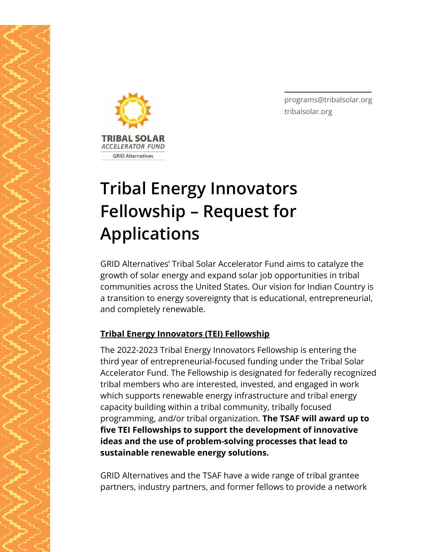

**TRIBAL SO ACCELERATOR FUND GRID Alternatives** 

programs@tribalsolar.org tribalsolar.org

# **Tribal Energy Innovators Fellowship – Request for Applications**

GRID Alternatives' Tribal Solar Accelerator Fund aims to catalyze the growth of solar energy and expand solar job opportunities in tribal communities across the United States. Our vision for Indian Country is a transition to energy sovereignty that is educational, entrepreneurial, and completely renewable.

## **Tribal Energy Innovators (TEI) Fellowship**

The 2022-2023 Tribal Energy Innovators Fellowship is entering the third year of entrepreneurial-focused funding under the Tribal Solar Accelerator Fund. The Fellowship is designated for federally recognized tribal members who are interested, invested, and engaged in work which supports renewable energy infrastructure and tribal energy capacity building within a tribal community, tribally focused programming, and/or tribal organization. **The TSAF will award up to five TEI Fellowships to support the development of innovative ideas and the use of problem-solving processes that lead to sustainable renewable energy solutions.**

GRID Alternatives and the TSAF have a wide range of tribal grantee partners, industry partners, and former fellows to provide a network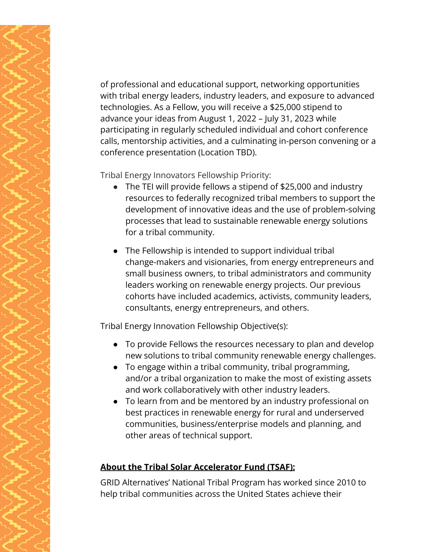of professional and educational support, networking opportunities with tribal energy leaders, industry leaders, and exposure to advanced technologies. As a Fellow, you will receive a \$25,000 stipend to advance your ideas from August 1, 2022 – July 31, 2023 while participating in regularly scheduled individual and cohort conference calls, mentorship activities, and a culminating in-person convening or a conference presentation (Location TBD).

Tribal Energy Innovators Fellowship Priority:

- The TEI will provide fellows a stipend of \$25,000 and industry resources to federally recognized tribal members to support the development of innovative ideas and the use of problem-solving processes that lead to sustainable renewable energy solutions for a tribal community.
- The Fellowship is intended to support individual tribal change-makers and visionaries, from energy entrepreneurs and small business owners, to tribal administrators and community leaders working on renewable energy projects. Our previous cohorts have included academics, activists, community leaders, consultants, energy entrepreneurs, and others.

Tribal Energy Innovation Fellowship Objective(s):

- To provide Fellows the resources necessary to plan and develop new solutions to tribal community renewable energy challenges.
- To engage within a tribal community, tribal programming, and/or a tribal organization to make the most of existing assets and work collaboratively with other industry leaders.
- To learn from and be mentored by an industry professional on best practices in renewable energy for rural and underserved communities, business/enterprise models and planning, and other areas of technical support.

#### **About the Tribal Solar Accelerator Fund (TSAF):**

GRID Alternatives' National Tribal Program has worked since 2010 to help tribal communities across the United States achieve their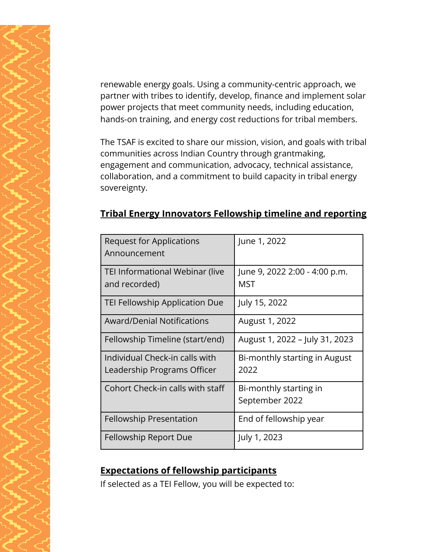renewable energy goals. Using a community-centric approach, we partner with tribes to identify, develop, finance and implement solar power projects that meet community needs, including education, hands-on training, and energy cost reductions for tribal members.

The TSAF is excited to share our mission, vision, and goals with tribal communities across Indian Country through grantmaking, engagement and communication, advocacy, technical assistance, collaboration, and a commitment to build capacity in tribal energy sovereignty.

| Request for Applications<br>Announcement                      | June 1, 2022                             |
|---------------------------------------------------------------|------------------------------------------|
| TEI Informational Webinar (live<br>and recorded)              | June 9, 2022 2:00 - 4:00 p.m.<br>MST     |
| TEI Fellowship Application Due                                | July 15, 2022                            |
| <b>Award/Denial Notifications</b>                             | August 1, 2022                           |
| Fellowship Timeline (start/end)                               | August 1, 2022 - July 31, 2023           |
| Individual Check-in calls with<br>Leadership Programs Officer | Bi-monthly starting in August<br>2022    |
| Cohort Check-in calls with staff                              | Bi-monthly starting in<br>September 2022 |
| <b>Fellowship Presentation</b>                                | End of fellowship year                   |
| Fellowship Report Due                                         | July 1, 2023                             |

#### **Tribal Energy Innovators Fellowship timeline and reporting**

## **Expectations of fellowship participants**

If selected as a TEI Fellow, you will be expected to: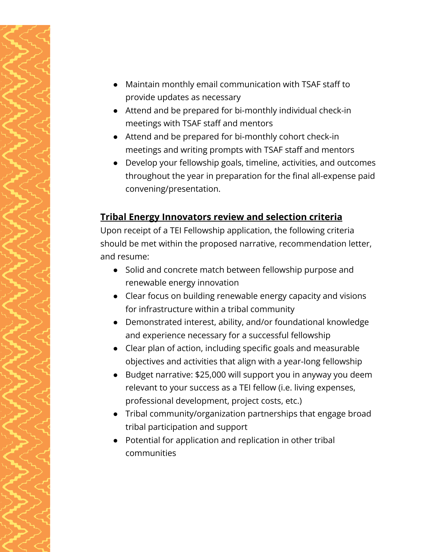- Maintain monthly email communication with TSAF staff to provide updates as necessary
- Attend and be prepared for bi-monthly individual check-in meetings with TSAF staff and mentors
- Attend and be prepared for bi-monthly cohort check-in meetings and writing prompts with TSAF staff and mentors
- Develop your fellowship goals, timeline, activities, and outcomes throughout the year in preparation for the final all-expense paid convening/presentation.

## **Tribal Energy Innovators review and selection criteria**

Upon receipt of a TEI Fellowship application, the following criteria should be met within the proposed narrative, recommendation letter, and resume:

- Solid and concrete match between fellowship purpose and renewable energy innovation
- Clear focus on building renewable energy capacity and visions for infrastructure within a tribal community
- Demonstrated interest, ability, and/or foundational knowledge and experience necessary for a successful fellowship
- Clear plan of action, including specific goals and measurable objectives and activities that align with a year-long fellowship
- Budget narrative: \$25,000 will support you in anyway you deem relevant to your success as a TEI fellow (i.e. living expenses, professional development, project costs, etc.)
- Tribal community/organization partnerships that engage broad tribal participation and support
- Potential for application and replication in other tribal communities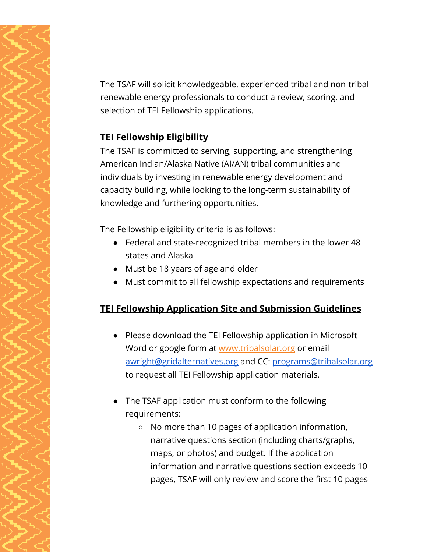The TSAF will solicit knowledgeable, experienced tribal and non-tribal renewable energy professionals to conduct a review, scoring, and selection of TEI Fellowship applications.

## **TEI Fellowship Eligibility**

The TSAF is committed to serving, supporting, and strengthening American Indian/Alaska Native (AI/AN) tribal communities and individuals by investing in renewable energy development and capacity building, while looking to the long-term sustainability of knowledge and furthering opportunities.

The Fellowship eligibility criteria is as follows:

- Federal and state-recognized tribal members in the lower 48 states and Alaska
- Must be 18 years of age and older
- Must commit to all fellowship expectations and requirements

# **TEI Fellowship Application Site and Submission Guidelines**

- Please download the TEI Fellowship application in Microsoft Word or google form at [www.tribalsolar.org](http://www.tribalsolar.org) or email [awright@gridalternatives.org](mailto:awright@gridalternatives.org) and CC: [programs@tribalsolar.org](mailto:programs@tribalsolar.org) to request all TEI Fellowship application materials.
- The TSAF application must conform to the following requirements:
	- No more than 10 pages of application information, narrative questions section (including charts/graphs, maps, or photos) and budget. If the application information and narrative questions section exceeds 10 pages, TSAF will only review and score the first 10 pages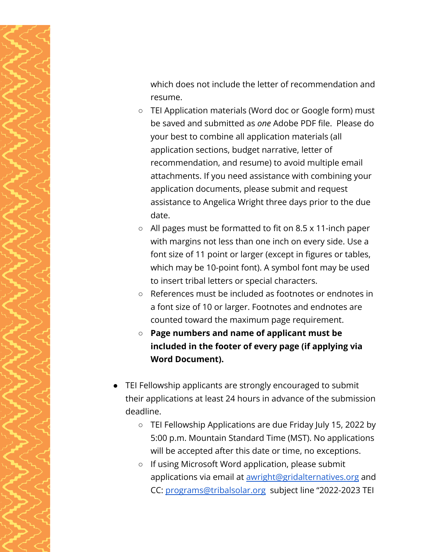which does not include the letter of recommendation and resume.

- TEI Application materials (Word doc or Google form) must be saved and submitted as *one* Adobe PDF file. Please do your best to combine all application materials (all application sections, budget narrative, letter of recommendation, and resume) to avoid multiple email attachments. If you need assistance with combining your application documents, please submit and request assistance to Angelica Wright three days prior to the due date.
- All pages must be formatted to fit on 8.5 x 11-inch paper with margins not less than one inch on every side. Use a font size of 11 point or larger (except in figures or tables, which may be 10-point font). A symbol font may be used to insert tribal letters or special characters.
- References must be included as footnotes or endnotes in a font size of 10 or larger. Footnotes and endnotes are counted toward the maximum page requirement.
- **○ Page numbers and name of applicant must be included in the footer of every page (if applying via Word Document).**
- TEI Fellowship applicants are strongly encouraged to submit their applications at least 24 hours in advance of the submission deadline.
	- TEI Fellowship Applications are due Friday July 15, 2022 by 5:00 p.m. Mountain Standard Time (MST). No applications will be accepted after this date or time, no exceptions.
	- If using Microsoft Word application, please submit applications via email at **[awright@gridalternatives.org](mailto:awright@gridalternatives.org)** and CC: [programs@tribalsolar.org](mailto:programs@tribalsolar.org) subject line "2022-2023 TEI